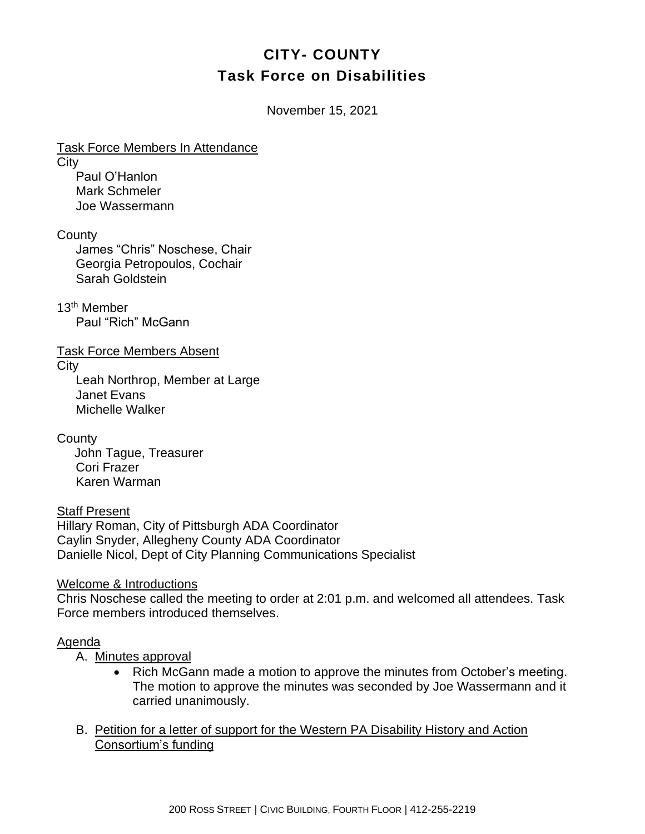# **CITY- COUNTY Task Force on Disabilities**

November 15, 2021

Task Force Members In Attendance **City** Paul O'Hanlon Mark Schmeler

Joe Wassermann

**County** 

James "Chris" Noschese, Chair Georgia Petropoulos, Cochair Sarah Goldstein

13th Member Paul "Rich" McGann

Task Force Members Absent

**City** 

Leah Northrop, Member at Large Janet Evans Michelle Walker

**County** John Tague, Treasurer Cori Frazer Karen Warman

Staff Present Hillary Roman, City of Pittsburgh ADA Coordinator Caylin Snyder, Allegheny County ADA Coordinator Danielle Nicol, Dept of City Planning Communications Specialist

Welcome & Introductions

Chris Noschese called the meeting to order at 2:01 p.m. and welcomed all attendees. Task Force members introduced themselves.

## Agenda

A. Minutes approval

- Rich McGann made a motion to approve the minutes from October's meeting. The motion to approve the minutes was seconded by Joe Wassermann and it carried unanimously.
- B. Petition for a letter of support for the Western PA Disability History and Action Consortium's funding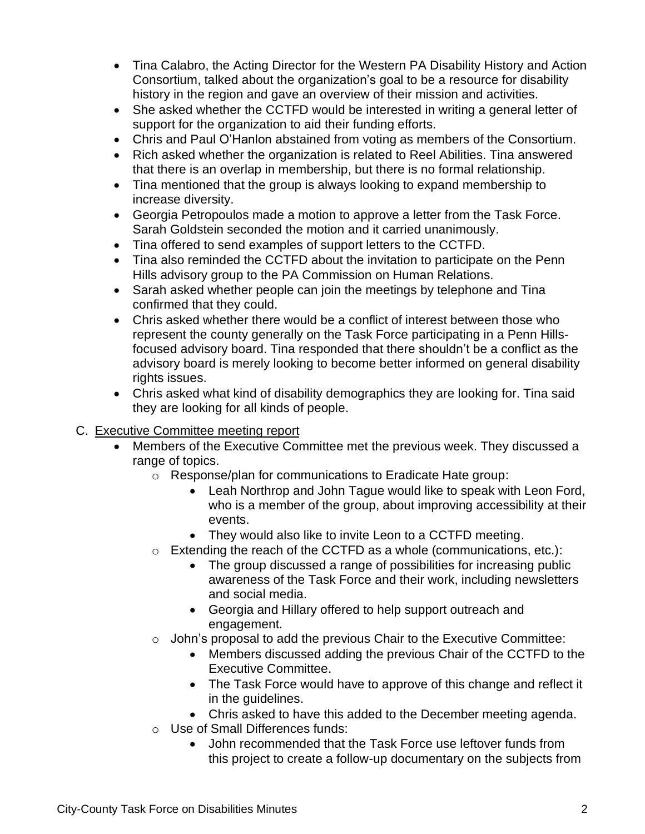- Tina Calabro, the Acting Director for the Western PA Disability History and Action Consortium, talked about the organization's goal to be a resource for disability history in the region and gave an overview of their mission and activities.
- She asked whether the CCTFD would be interested in writing a general letter of support for the organization to aid their funding efforts.
- Chris and Paul O'Hanlon abstained from voting as members of the Consortium.
- Rich asked whether the organization is related to Reel Abilities. Tina answered that there is an overlap in membership, but there is no formal relationship.
- Tina mentioned that the group is always looking to expand membership to increase diversity.
- Georgia Petropoulos made a motion to approve a letter from the Task Force. Sarah Goldstein seconded the motion and it carried unanimously.
- Tina offered to send examples of support letters to the CCTFD.
- Tina also reminded the CCTFD about the invitation to participate on the Penn Hills advisory group to the PA Commission on Human Relations.
- Sarah asked whether people can join the meetings by telephone and Tina confirmed that they could.
- Chris asked whether there would be a conflict of interest between those who represent the county generally on the Task Force participating in a Penn Hillsfocused advisory board. Tina responded that there shouldn't be a conflict as the advisory board is merely looking to become better informed on general disability rights issues.
- Chris asked what kind of disability demographics they are looking for. Tina said they are looking for all kinds of people.

## C. Executive Committee meeting report

- Members of the Executive Committee met the previous week. They discussed a range of topics.
	- o Response/plan for communications to Eradicate Hate group:
		- Leah Northrop and John Tague would like to speak with Leon Ford, who is a member of the group, about improving accessibility at their events.
		- They would also like to invite Leon to a CCTFD meeting.
	- $\circ$  Extending the reach of the CCTFD as a whole (communications, etc.):
		- The group discussed a range of possibilities for increasing public awareness of the Task Force and their work, including newsletters and social media.
		- Georgia and Hillary offered to help support outreach and engagement.
	- $\circ$  John's proposal to add the previous Chair to the Executive Committee:
		- Members discussed adding the previous Chair of the CCTFD to the Executive Committee.
		- The Task Force would have to approve of this change and reflect it in the guidelines.
		- Chris asked to have this added to the December meeting agenda.
	- o Use of Small Differences funds:
		- John recommended that the Task Force use leftover funds from this project to create a follow-up documentary on the subjects from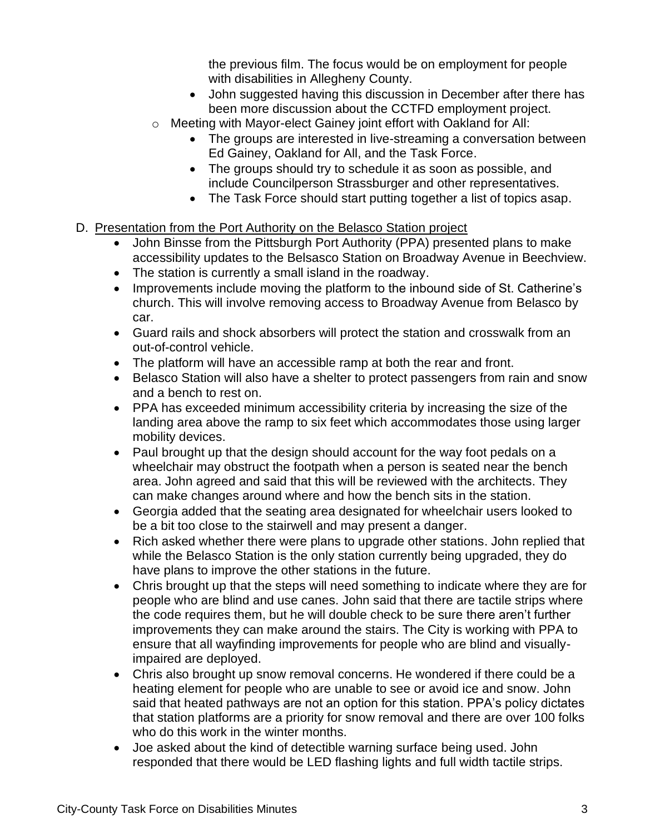the previous film. The focus would be on employment for people with disabilities in Allegheny County.

- John suggested having this discussion in December after there has been more discussion about the CCTFD employment project.
- o Meeting with Mayor-elect Gainey joint effort with Oakland for All:
	- The groups are interested in live-streaming a conversation between Ed Gainey, Oakland for All, and the Task Force.
	- The groups should try to schedule it as soon as possible, and include Councilperson Strassburger and other representatives.
	- The Task Force should start putting together a list of topics asap.
- D. Presentation from the Port Authority on the Belasco Station project
	- John Binsse from the Pittsburgh Port Authority (PPA) presented plans to make accessibility updates to the Belsasco Station on Broadway Avenue in Beechview.
	- The station is currently a small island in the roadway.
	- Improvements include moving the platform to the inbound side of St. Catherine's church. This will involve removing access to Broadway Avenue from Belasco by car.
	- Guard rails and shock absorbers will protect the station and crosswalk from an out-of-control vehicle.
	- The platform will have an accessible ramp at both the rear and front.
	- Belasco Station will also have a shelter to protect passengers from rain and snow and a bench to rest on.
	- PPA has exceeded minimum accessibility criteria by increasing the size of the landing area above the ramp to six feet which accommodates those using larger mobility devices.
	- Paul brought up that the design should account for the way foot pedals on a wheelchair may obstruct the footpath when a person is seated near the bench area. John agreed and said that this will be reviewed with the architects. They can make changes around where and how the bench sits in the station.
	- Georgia added that the seating area designated for wheelchair users looked to be a bit too close to the stairwell and may present a danger.
	- Rich asked whether there were plans to upgrade other stations. John replied that while the Belasco Station is the only station currently being upgraded, they do have plans to improve the other stations in the future.
	- Chris brought up that the steps will need something to indicate where they are for people who are blind and use canes. John said that there are tactile strips where the code requires them, but he will double check to be sure there aren't further improvements they can make around the stairs. The City is working with PPA to ensure that all wayfinding improvements for people who are blind and visuallyimpaired are deployed.
	- Chris also brought up snow removal concerns. He wondered if there could be a heating element for people who are unable to see or avoid ice and snow. John said that heated pathways are not an option for this station. PPA's policy dictates that station platforms are a priority for snow removal and there are over 100 folks who do this work in the winter months.
	- Joe asked about the kind of detectible warning surface being used. John responded that there would be LED flashing lights and full width tactile strips.